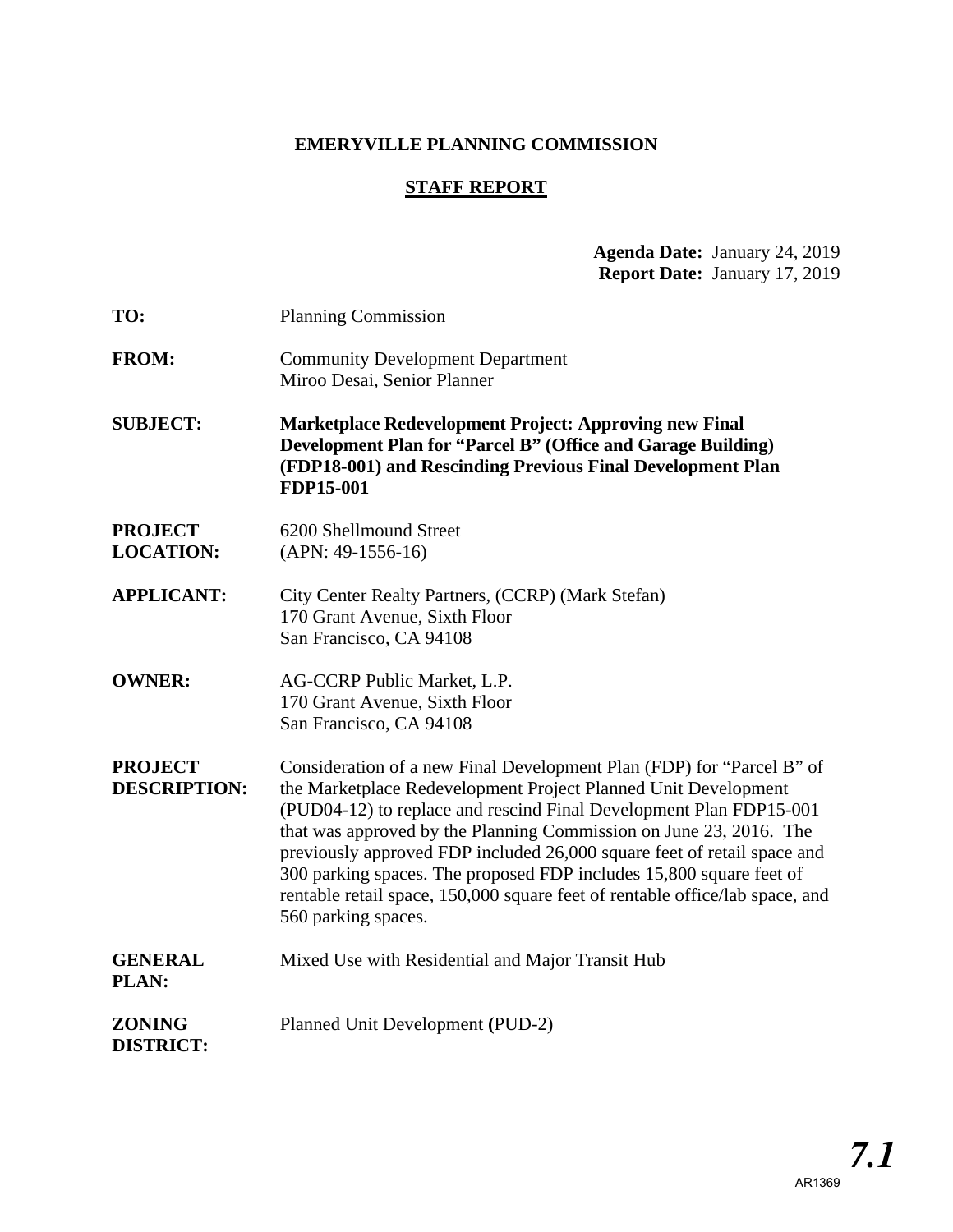# **EMERYVILLE PLANNING COMMISSION**

## **STAFF REPORT**

## **Agenda Date:** January 24, 2019 **Report Date:** January 17, 2019

| TO:                                   | <b>Planning Commission</b>                                                                                                                                                                                                                                                                                                                                                                                                                                                                                                                   |  |  |
|---------------------------------------|----------------------------------------------------------------------------------------------------------------------------------------------------------------------------------------------------------------------------------------------------------------------------------------------------------------------------------------------------------------------------------------------------------------------------------------------------------------------------------------------------------------------------------------------|--|--|
| <b>FROM:</b>                          | <b>Community Development Department</b><br>Miroo Desai, Senior Planner                                                                                                                                                                                                                                                                                                                                                                                                                                                                       |  |  |
| <b>SUBJECT:</b>                       | <b>Marketplace Redevelopment Project: Approving new Final</b><br>Development Plan for "Parcel B" (Office and Garage Building)<br>(FDP18-001) and Rescinding Previous Final Development Plan<br>FDP15-001                                                                                                                                                                                                                                                                                                                                     |  |  |
| <b>PROJECT</b><br><b>LOCATION:</b>    | 6200 Shellmound Street<br>$(APN: 49-1556-16)$                                                                                                                                                                                                                                                                                                                                                                                                                                                                                                |  |  |
| <b>APPLICANT:</b>                     | City Center Realty Partners, (CCRP) (Mark Stefan)<br>170 Grant Avenue, Sixth Floor<br>San Francisco, CA 94108                                                                                                                                                                                                                                                                                                                                                                                                                                |  |  |
| <b>OWNER:</b>                         | AG-CCRP Public Market, L.P.<br>170 Grant Avenue, Sixth Floor<br>San Francisco, CA 94108                                                                                                                                                                                                                                                                                                                                                                                                                                                      |  |  |
| <b>PROJECT</b><br><b>DESCRIPTION:</b> | Consideration of a new Final Development Plan (FDP) for "Parcel B" of<br>the Marketplace Redevelopment Project Planned Unit Development<br>(PUD04-12) to replace and rescind Final Development Plan FDP15-001<br>that was approved by the Planning Commission on June 23, 2016. The<br>previously approved FDP included 26,000 square feet of retail space and<br>300 parking spaces. The proposed FDP includes 15,800 square feet of<br>rentable retail space, 150,000 square feet of rentable office/lab space, and<br>560 parking spaces. |  |  |
| <b>GENERAL</b><br>PLAN:               | Mixed Use with Residential and Major Transit Hub                                                                                                                                                                                                                                                                                                                                                                                                                                                                                             |  |  |
| <b>ZONING</b><br><b>DISTRICT:</b>     | Planned Unit Development (PUD-2)                                                                                                                                                                                                                                                                                                                                                                                                                                                                                                             |  |  |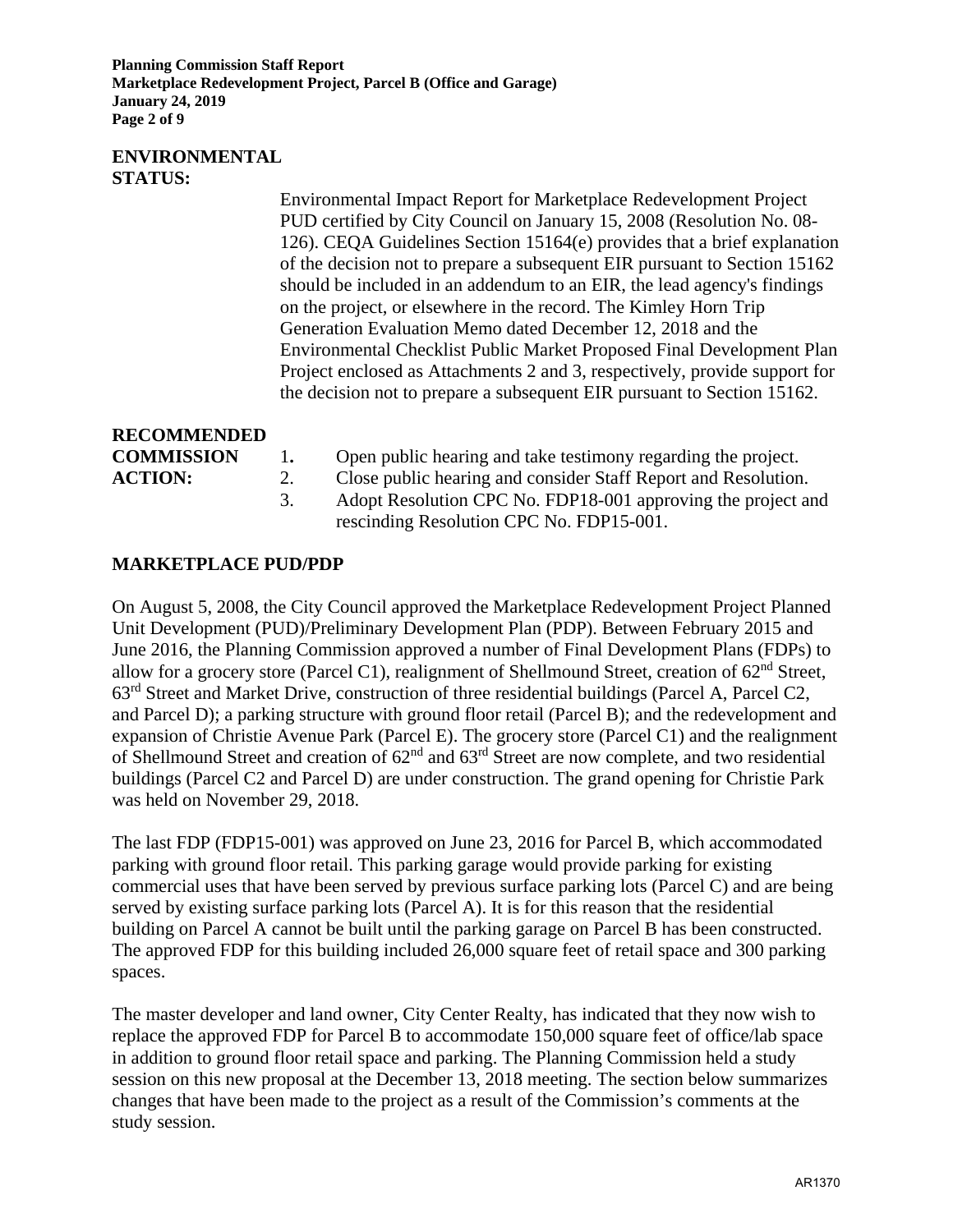**Planning Commission Staff Report Marketplace Redevelopment Project, Parcel B (Office and Garage) January 24, 2019 Page 2 of 9** 

### **ENVIRONMENTAL STATUS:**

 Environmental Impact Report for Marketplace Redevelopment Project PUD certified by City Council on January 15, 2008 (Resolution No. 08- 126). CEQA Guidelines Section 15164(e) provides that a brief explanation of the decision not to prepare a subsequent EIR pursuant to Section 15162 should be included in an addendum to an EIR, the lead agency's findings on the project, or elsewhere in the record. The Kimley Horn Trip Generation Evaluation Memo dated December 12, 2018 and the Environmental Checklist Public Market Proposed Final Development Plan Project enclosed as Attachments 2 and 3, respectively, provide support for the decision not to prepare a subsequent EIR pursuant to Section 15162.

**RECOMMENDED** 

| <b>COMMISSIV</b> |  |
|------------------|--|
| $\blacksquare$   |  |

- **1.** Open public hearing and take testimony regarding the project.
- **ACTION:** 2. Close public hearing and consider Staff Report and Resolution.
	- 3. Adopt Resolution CPC No. FDP18-001 approving the project and rescinding Resolution CPC No. FDP15-001.

## **MARKETPLACE PUD/PDP**

On August 5, 2008, the City Council approved the Marketplace Redevelopment Project Planned Unit Development (PUD)/Preliminary Development Plan (PDP). Between February 2015 and June 2016, the Planning Commission approved a number of Final Development Plans (FDPs) to allow for a grocery store (Parcel C1), realignment of Shellmound Street, creation of 62nd Street, 63rd Street and Market Drive, construction of three residential buildings (Parcel A, Parcel C2, and Parcel D); a parking structure with ground floor retail (Parcel B); and the redevelopment and expansion of Christie Avenue Park (Parcel E). The grocery store (Parcel C1) and the realignment of Shellmound Street and creation of  $62<sup>nd</sup>$  and  $63<sup>rd</sup>$  Street are now complete, and two residential buildings (Parcel C2 and Parcel D) are under construction. The grand opening for Christie Park was held on November 29, 2018.

The last FDP (FDP15-001) was approved on June 23, 2016 for Parcel B, which accommodated parking with ground floor retail. This parking garage would provide parking for existing commercial uses that have been served by previous surface parking lots (Parcel C) and are being served by existing surface parking lots (Parcel A). It is for this reason that the residential building on Parcel A cannot be built until the parking garage on Parcel B has been constructed. The approved FDP for this building included 26,000 square feet of retail space and 300 parking spaces.

The master developer and land owner, City Center Realty, has indicated that they now wish to replace the approved FDP for Parcel B to accommodate 150,000 square feet of office/lab space in addition to ground floor retail space and parking. The Planning Commission held a study session on this new proposal at the December 13, 2018 meeting. The section below summarizes changes that have been made to the project as a result of the Commission's comments at the study session.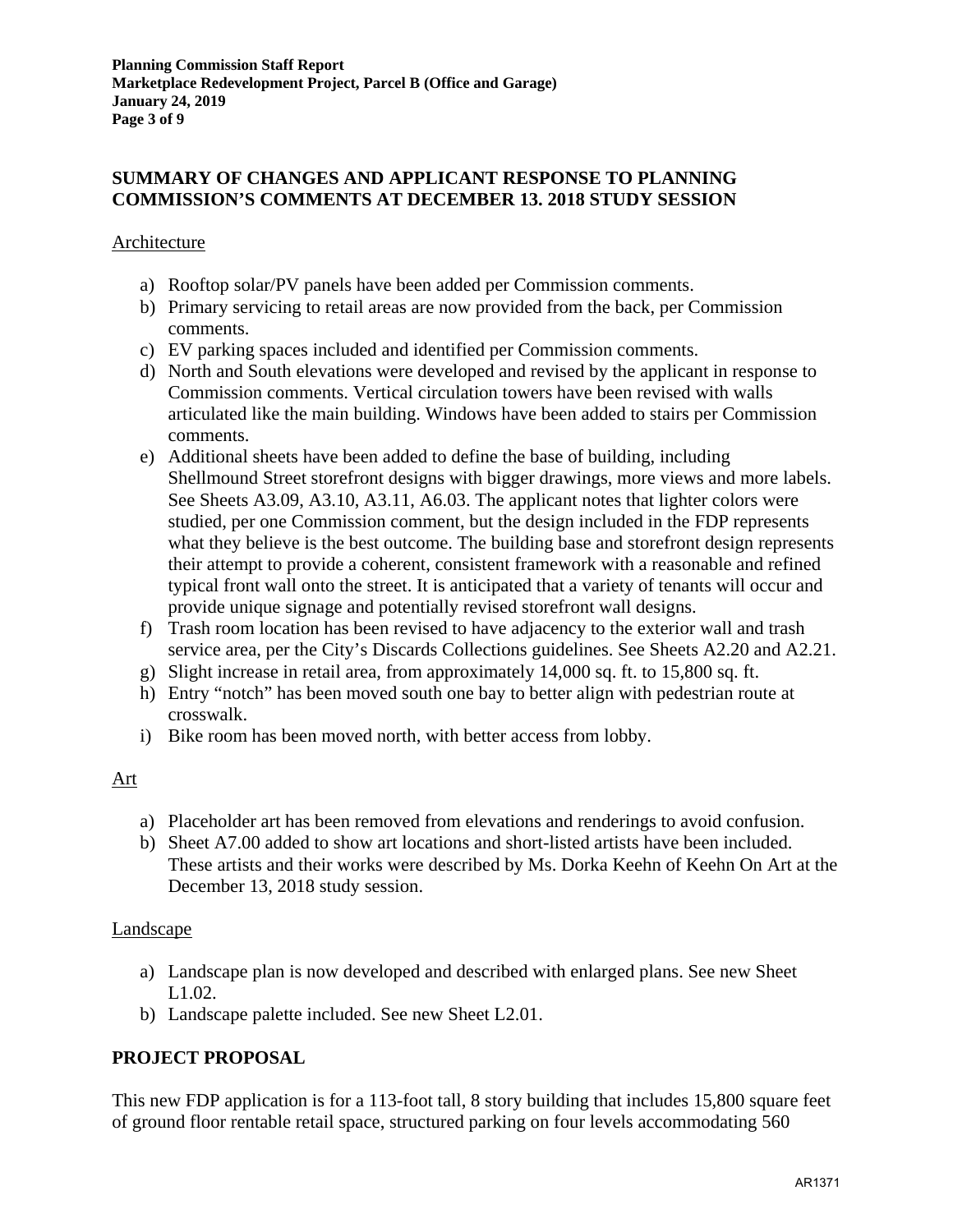### **SUMMARY OF CHANGES AND APPLICANT RESPONSE TO PLANNING COMMISSION'S COMMENTS AT DECEMBER 13. 2018 STUDY SESSION**

### Architecture

- a) Rooftop solar/PV panels have been added per Commission comments.
- b) Primary servicing to retail areas are now provided from the back, per Commission comments.
- c) EV parking spaces included and identified per Commission comments.
- d) North and South elevations were developed and revised by the applicant in response to Commission comments. Vertical circulation towers have been revised with walls articulated like the main building. Windows have been added to stairs per Commission comments.
- e) Additional sheets have been added to define the base of building, including Shellmound Street storefront designs with bigger drawings, more views and more labels. See Sheets A3.09, A3.10, A3.11, A6.03. The applicant notes that lighter colors were studied, per one Commission comment, but the design included in the FDP represents what they believe is the best outcome. The building base and storefront design represents their attempt to provide a coherent, consistent framework with a reasonable and refined typical front wall onto the street. It is anticipated that a variety of tenants will occur and provide unique signage and potentially revised storefront wall designs.
- f) Trash room location has been revised to have adjacency to the exterior wall and trash service area, per the City's Discards Collections guidelines. See Sheets A2.20 and A2.21.
- g) Slight increase in retail area, from approximately 14,000 sq. ft. to 15,800 sq. ft.
- h) Entry "notch" has been moved south one bay to better align with pedestrian route at crosswalk.
- i) Bike room has been moved north, with better access from lobby.

### Art

- a) Placeholder art has been removed from elevations and renderings to avoid confusion.
- b) Sheet A7.00 added to show art locations and short-listed artists have been included. These artists and their works were described by Ms. Dorka Keehn of Keehn On Art at the December 13, 2018 study session.

### Landscape

- a) Landscape plan is now developed and described with enlarged plans. See new Sheet L1.02.
- b) Landscape palette included. See new Sheet L2.01.

## **PROJECT PROPOSAL**

This new FDP application is for a 113-foot tall, 8 story building that includes 15,800 square feet of ground floor rentable retail space, structured parking on four levels accommodating 560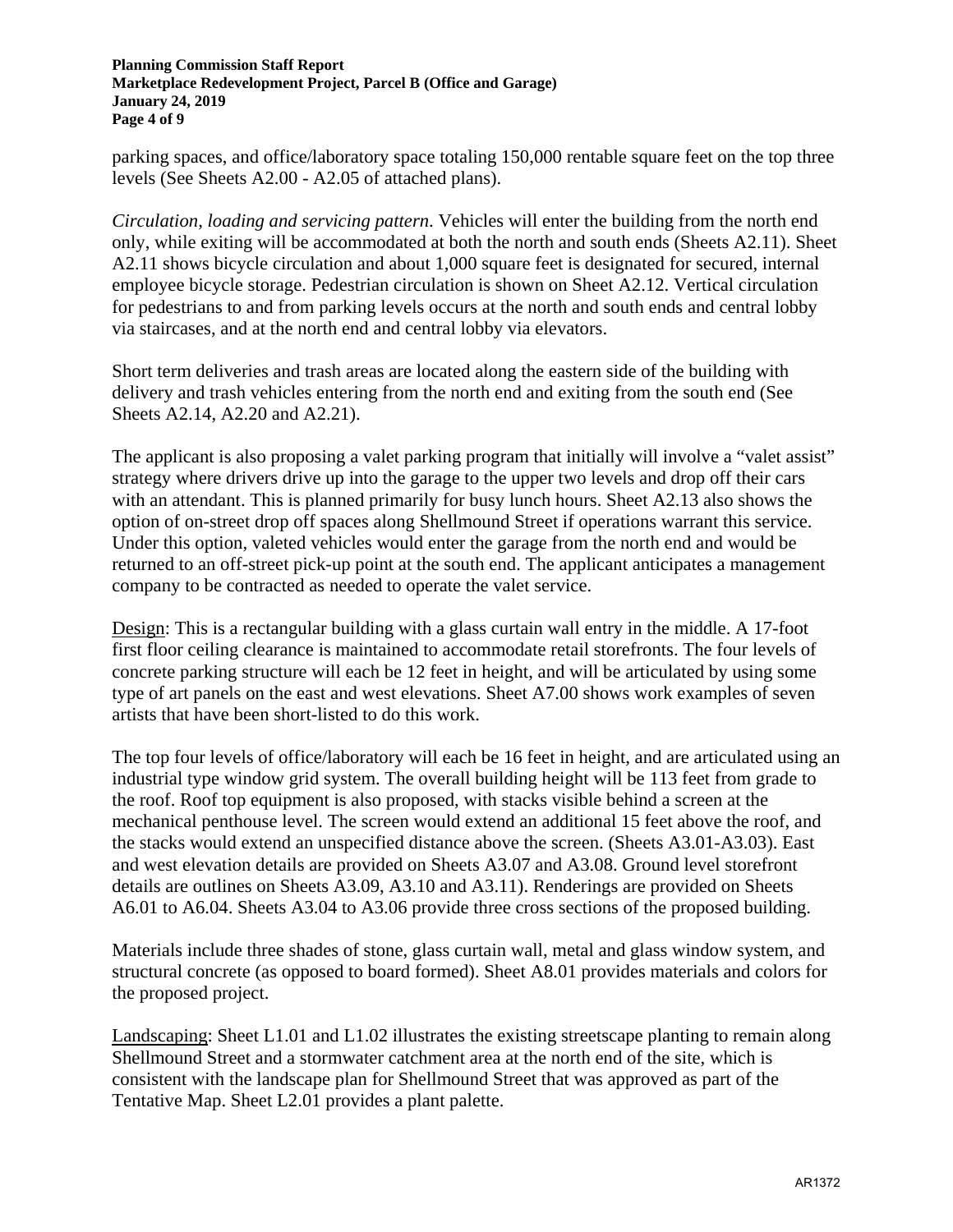#### **Planning Commission Staff Report Marketplace Redevelopment Project, Parcel B (Office and Garage) January 24, 2019 Page 4 of 9**

parking spaces, and office/laboratory space totaling 150,000 rentable square feet on the top three levels (See Sheets A2.00 - A2.05 of attached plans).

*Circulation, loading and servicing pattern*. Vehicles will enter the building from the north end only, while exiting will be accommodated at both the north and south ends (Sheets A2.11). Sheet A2.11 shows bicycle circulation and about 1,000 square feet is designated for secured, internal employee bicycle storage. Pedestrian circulation is shown on Sheet A2.12. Vertical circulation for pedestrians to and from parking levels occurs at the north and south ends and central lobby via staircases, and at the north end and central lobby via elevators.

Short term deliveries and trash areas are located along the eastern side of the building with delivery and trash vehicles entering from the north end and exiting from the south end (See Sheets A2.14, A2.20 and A2.21).

The applicant is also proposing a valet parking program that initially will involve a "valet assist" strategy where drivers drive up into the garage to the upper two levels and drop off their cars with an attendant. This is planned primarily for busy lunch hours. Sheet A2.13 also shows the option of on-street drop off spaces along Shellmound Street if operations warrant this service. Under this option, valeted vehicles would enter the garage from the north end and would be returned to an off-street pick-up point at the south end. The applicant anticipates a management company to be contracted as needed to operate the valet service.

Design: This is a rectangular building with a glass curtain wall entry in the middle. A 17-foot first floor ceiling clearance is maintained to accommodate retail storefronts. The four levels of concrete parking structure will each be 12 feet in height, and will be articulated by using some type of art panels on the east and west elevations. Sheet A7.00 shows work examples of seven artists that have been short-listed to do this work.

The top four levels of office/laboratory will each be 16 feet in height, and are articulated using an industrial type window grid system. The overall building height will be 113 feet from grade to the roof. Roof top equipment is also proposed, with stacks visible behind a screen at the mechanical penthouse level. The screen would extend an additional 15 feet above the roof, and the stacks would extend an unspecified distance above the screen. (Sheets A3.01-A3.03). East and west elevation details are provided on Sheets A3.07 and A3.08. Ground level storefront details are outlines on Sheets A3.09, A3.10 and A3.11). Renderings are provided on Sheets A6.01 to A6.04. Sheets A3.04 to A3.06 provide three cross sections of the proposed building.

Materials include three shades of stone, glass curtain wall, metal and glass window system, and structural concrete (as opposed to board formed). Sheet A8.01 provides materials and colors for the proposed project.

Landscaping: Sheet L1.01 and L1.02 illustrates the existing streetscape planting to remain along Shellmound Street and a stormwater catchment area at the north end of the site, which is consistent with the landscape plan for Shellmound Street that was approved as part of the Tentative Map. Sheet L2.01 provides a plant palette.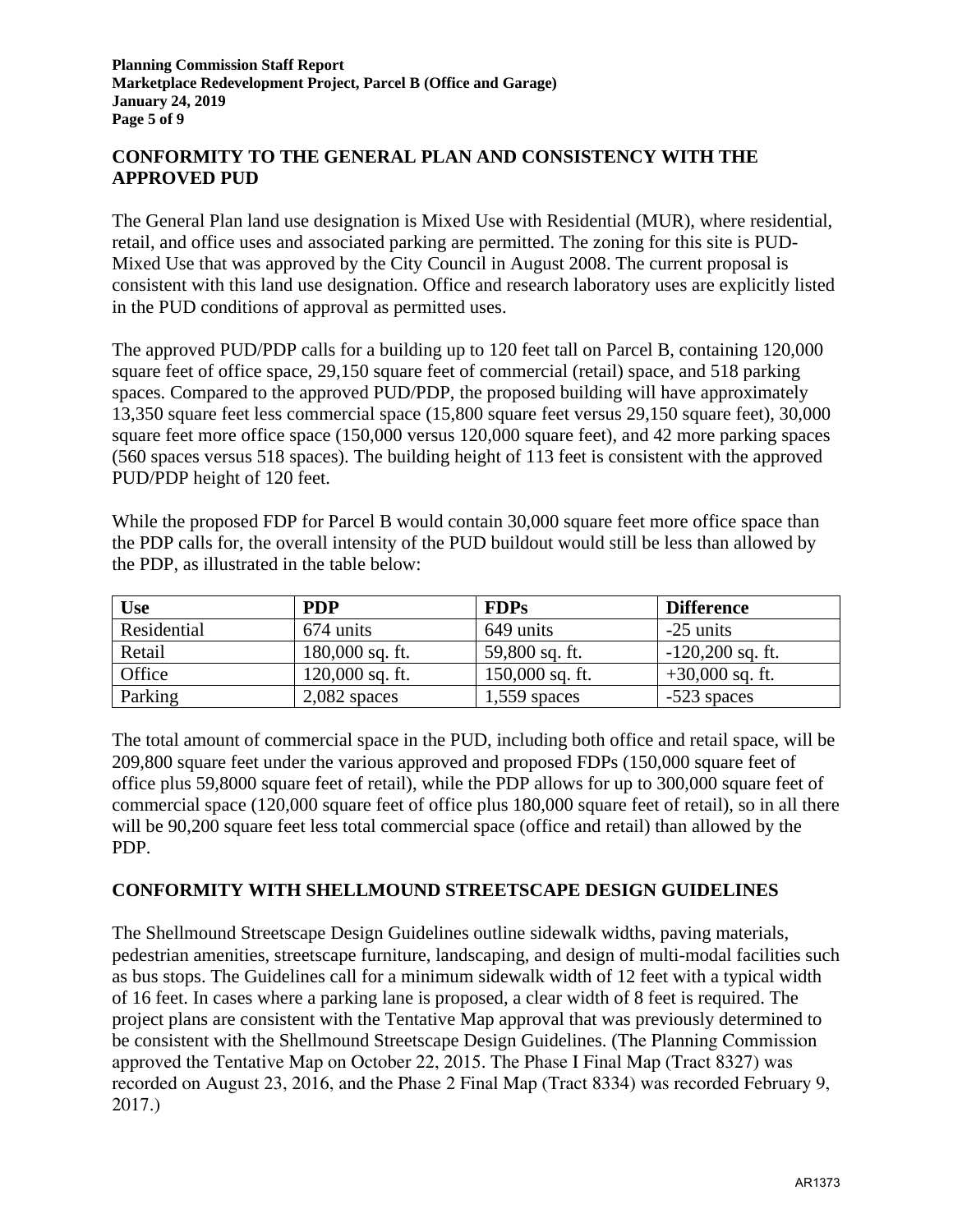## **CONFORMITY TO THE GENERAL PLAN AND CONSISTENCY WITH THE APPROVED PUD**

The General Plan land use designation is Mixed Use with Residential (MUR), where residential, retail, and office uses and associated parking are permitted. The zoning for this site is PUD-Mixed Use that was approved by the City Council in August 2008. The current proposal is consistent with this land use designation. Office and research laboratory uses are explicitly listed in the PUD conditions of approval as permitted uses.

The approved PUD/PDP calls for a building up to 120 feet tall on Parcel B, containing 120,000 square feet of office space, 29,150 square feet of commercial (retail) space, and 518 parking spaces. Compared to the approved PUD/PDP, the proposed building will have approximately 13,350 square feet less commercial space (15,800 square feet versus 29,150 square feet), 30,000 square feet more office space (150,000 versus 120,000 square feet), and 42 more parking spaces (560 spaces versus 518 spaces). The building height of 113 feet is consistent with the approved PUD/PDP height of 120 feet.

While the proposed FDP for Parcel B would contain 30,000 square feet more office space than the PDP calls for, the overall intensity of the PUD buildout would still be less than allowed by the PDP, as illustrated in the table below:

| Use         | <b>PDP</b>        | <b>FDPs</b>       | <b>Difference</b>  |
|-------------|-------------------|-------------------|--------------------|
| Residential | 674 units         | 649 units         | $-25$ units        |
| Retail      | $180,000$ sq. ft. | 59,800 sq. ft.    | $-120,200$ sq. ft. |
| Office      | $120,000$ sq. ft. | $150,000$ sq. ft. | $+30,000$ sq. ft.  |
| Parking     | $2,082$ spaces    | $1,559$ spaces    | $-523$ spaces      |

The total amount of commercial space in the PUD, including both office and retail space, will be 209,800 square feet under the various approved and proposed FDPs (150,000 square feet of office plus 59,8000 square feet of retail), while the PDP allows for up to 300,000 square feet of commercial space (120,000 square feet of office plus 180,000 square feet of retail), so in all there will be 90,200 square feet less total commercial space (office and retail) than allowed by the PDP.

## **CONFORMITY WITH SHELLMOUND STREETSCAPE DESIGN GUIDELINES**

The Shellmound Streetscape Design Guidelines outline sidewalk widths, paving materials, pedestrian amenities, streetscape furniture, landscaping, and design of multi-modal facilities such as bus stops. The Guidelines call for a minimum sidewalk width of 12 feet with a typical width of 16 feet. In cases where a parking lane is proposed, a clear width of 8 feet is required. The project plans are consistent with the Tentative Map approval that was previously determined to be consistent with the Shellmound Streetscape Design Guidelines. (The Planning Commission approved the Tentative Map on October 22, 2015. The Phase I Final Map (Tract 8327) was recorded on August 23, 2016, and the Phase 2 Final Map (Tract 8334) was recorded February 9, 2017.)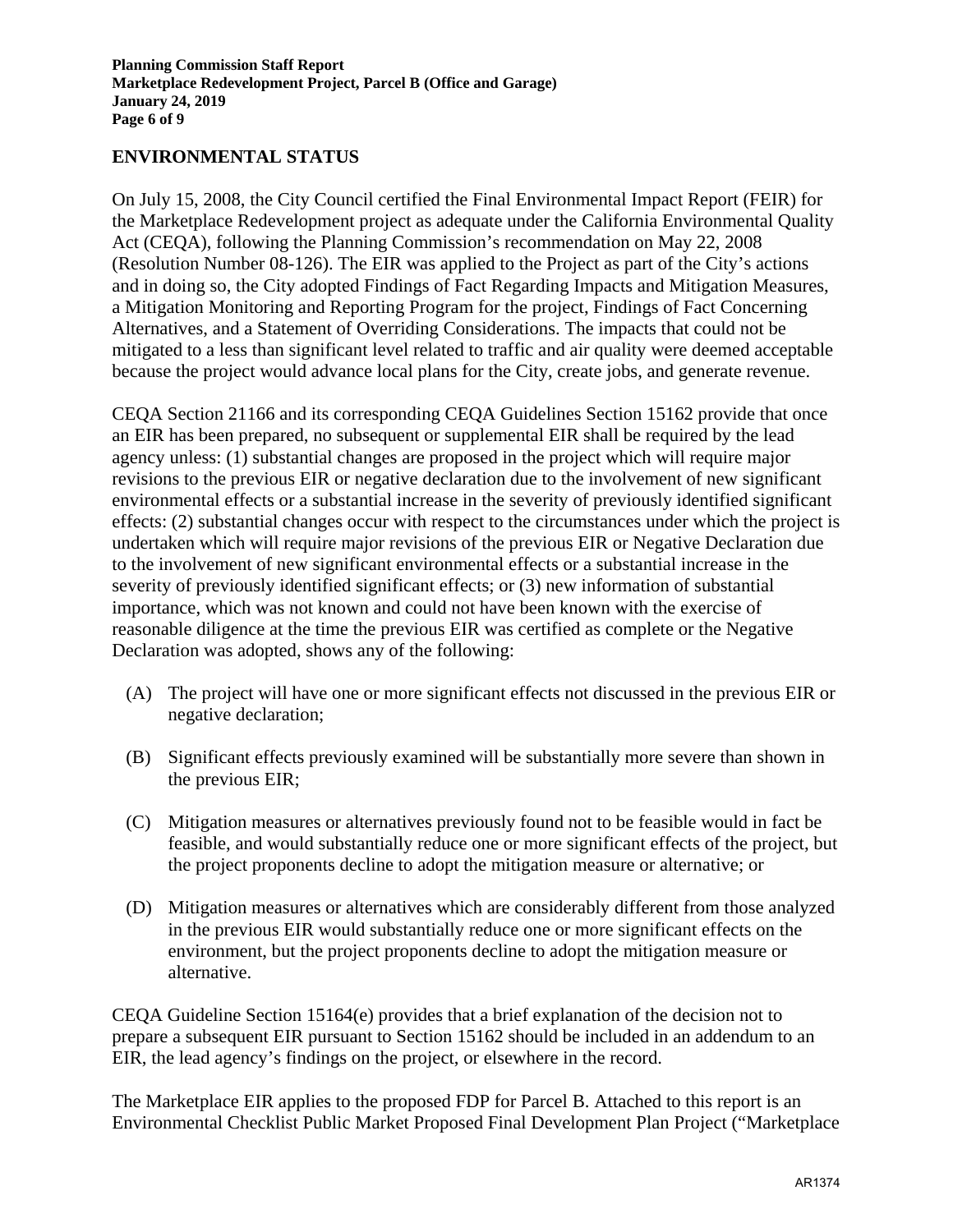### **ENVIRONMENTAL STATUS**

On July 15, 2008, the City Council certified the Final Environmental Impact Report (FEIR) for the Marketplace Redevelopment project as adequate under the California Environmental Quality Act (CEQA), following the Planning Commission's recommendation on May 22, 2008 (Resolution Number 08-126). The EIR was applied to the Project as part of the City's actions and in doing so, the City adopted Findings of Fact Regarding Impacts and Mitigation Measures, a Mitigation Monitoring and Reporting Program for the project, Findings of Fact Concerning Alternatives, and a Statement of Overriding Considerations. The impacts that could not be mitigated to a less than significant level related to traffic and air quality were deemed acceptable because the project would advance local plans for the City, create jobs, and generate revenue.

CEQA Section 21166 and its corresponding CEQA Guidelines Section 15162 provide that once an EIR has been prepared, no subsequent or supplemental EIR shall be required by the lead agency unless: (1) substantial changes are proposed in the project which will require major revisions to the previous EIR or negative declaration due to the involvement of new significant environmental effects or a substantial increase in the severity of previously identified significant effects: (2) substantial changes occur with respect to the circumstances under which the project is undertaken which will require major revisions of the previous EIR or Negative Declaration due to the involvement of new significant environmental effects or a substantial increase in the severity of previously identified significant effects; or (3) new information of substantial importance, which was not known and could not have been known with the exercise of reasonable diligence at the time the previous EIR was certified as complete or the Negative Declaration was adopted, shows any of the following:

- (A) The project will have one or more significant effects not discussed in the previous EIR or negative declaration;
- (B) Significant effects previously examined will be substantially more severe than shown in the previous EIR;
- (C) Mitigation measures or alternatives previously found not to be feasible would in fact be feasible, and would substantially reduce one or more significant effects of the project, but the project proponents decline to adopt the mitigation measure or alternative; or
- (D) Mitigation measures or alternatives which are considerably different from those analyzed in the previous EIR would substantially reduce one or more significant effects on the environment, but the project proponents decline to adopt the mitigation measure or alternative.

CEQA Guideline Section 15164(e) provides that a brief explanation of the decision not to prepare a subsequent EIR pursuant to Section 15162 should be included in an addendum to an EIR, the lead agency's findings on the project, or elsewhere in the record.

The Marketplace EIR applies to the proposed FDP for Parcel B. Attached to this report is an Environmental Checklist Public Market Proposed Final Development Plan Project ("Marketplace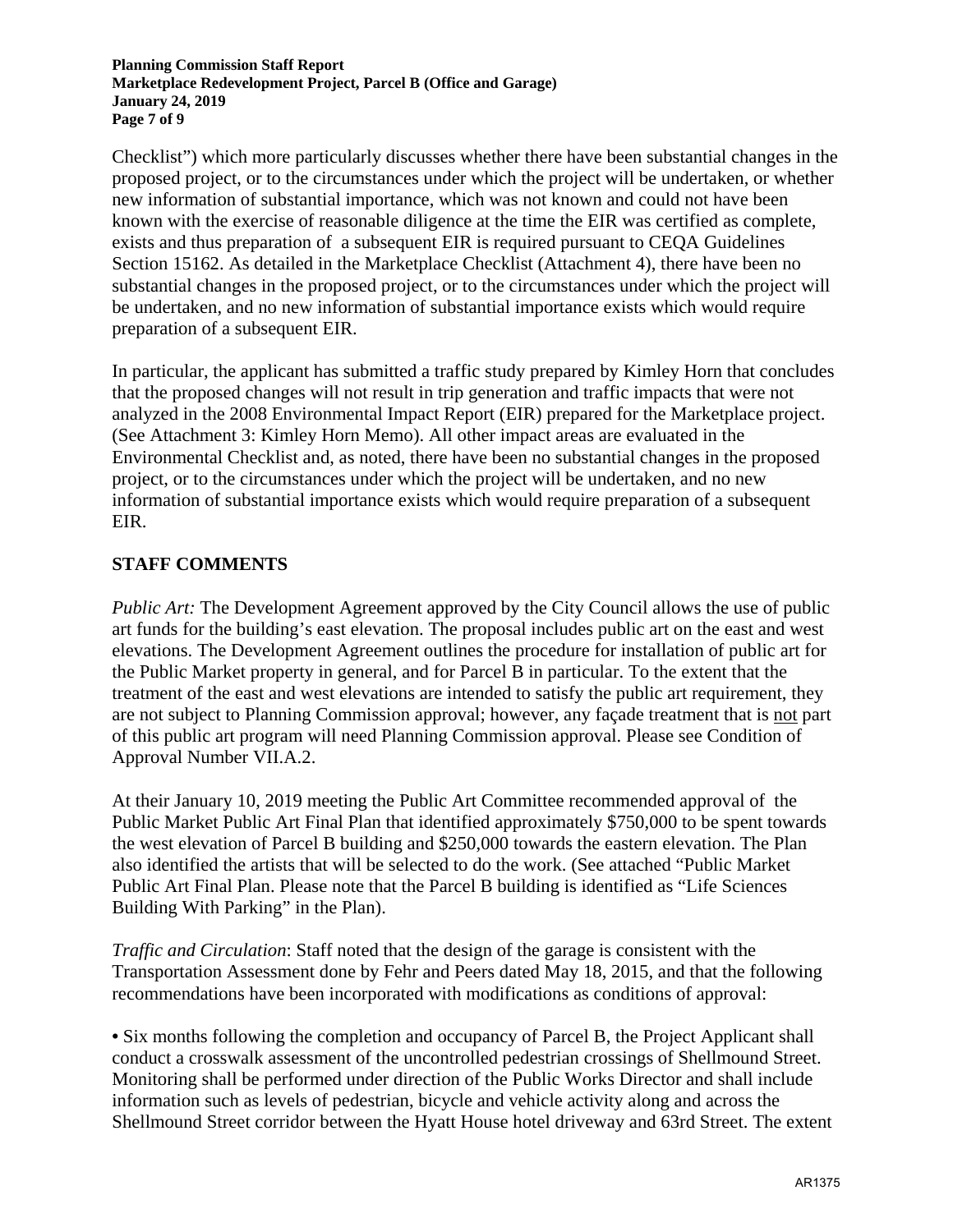**Planning Commission Staff Report Marketplace Redevelopment Project, Parcel B (Office and Garage) January 24, 2019 Page 7 of 9** 

Checklist") which more particularly discusses whether there have been substantial changes in the proposed project, or to the circumstances under which the project will be undertaken, or whether new information of substantial importance, which was not known and could not have been known with the exercise of reasonable diligence at the time the EIR was certified as complete, exists and thus preparation of a subsequent EIR is required pursuant to CEQA Guidelines Section 15162. As detailed in the Marketplace Checklist (Attachment 4), there have been no substantial changes in the proposed project, or to the circumstances under which the project will be undertaken, and no new information of substantial importance exists which would require preparation of a subsequent EIR.

In particular, the applicant has submitted a traffic study prepared by Kimley Horn that concludes that the proposed changes will not result in trip generation and traffic impacts that were not analyzed in the 2008 Environmental Impact Report (EIR) prepared for the Marketplace project. (See Attachment 3: Kimley Horn Memo). All other impact areas are evaluated in the Environmental Checklist and, as noted, there have been no substantial changes in the proposed project, or to the circumstances under which the project will be undertaken, and no new information of substantial importance exists which would require preparation of a subsequent EIR.

## **STAFF COMMENTS**

*Public Art:* The Development Agreement approved by the City Council allows the use of public art funds for the building's east elevation. The proposal includes public art on the east and west elevations. The Development Agreement outlines the procedure for installation of public art for the Public Market property in general, and for Parcel B in particular. To the extent that the treatment of the east and west elevations are intended to satisfy the public art requirement, they are not subject to Planning Commission approval; however, any façade treatment that is not part of this public art program will need Planning Commission approval. Please see Condition of Approval Number VII.A.2.

At their January 10, 2019 meeting the Public Art Committee recommended approval of the Public Market Public Art Final Plan that identified approximately \$750,000 to be spent towards the west elevation of Parcel B building and \$250,000 towards the eastern elevation. The Plan also identified the artists that will be selected to do the work. (See attached "Public Market Public Art Final Plan. Please note that the Parcel B building is identified as "Life Sciences Building With Parking" in the Plan).

*Traffic and Circulation*: Staff noted that the design of the garage is consistent with the Transportation Assessment done by Fehr and Peers dated May 18, 2015, and that the following recommendations have been incorporated with modifications as conditions of approval:

**•** Six months following the completion and occupancy of Parcel B, the Project Applicant shall conduct a crosswalk assessment of the uncontrolled pedestrian crossings of Shellmound Street. Monitoring shall be performed under direction of the Public Works Director and shall include information such as levels of pedestrian, bicycle and vehicle activity along and across the Shellmound Street corridor between the Hyatt House hotel driveway and 63rd Street. The extent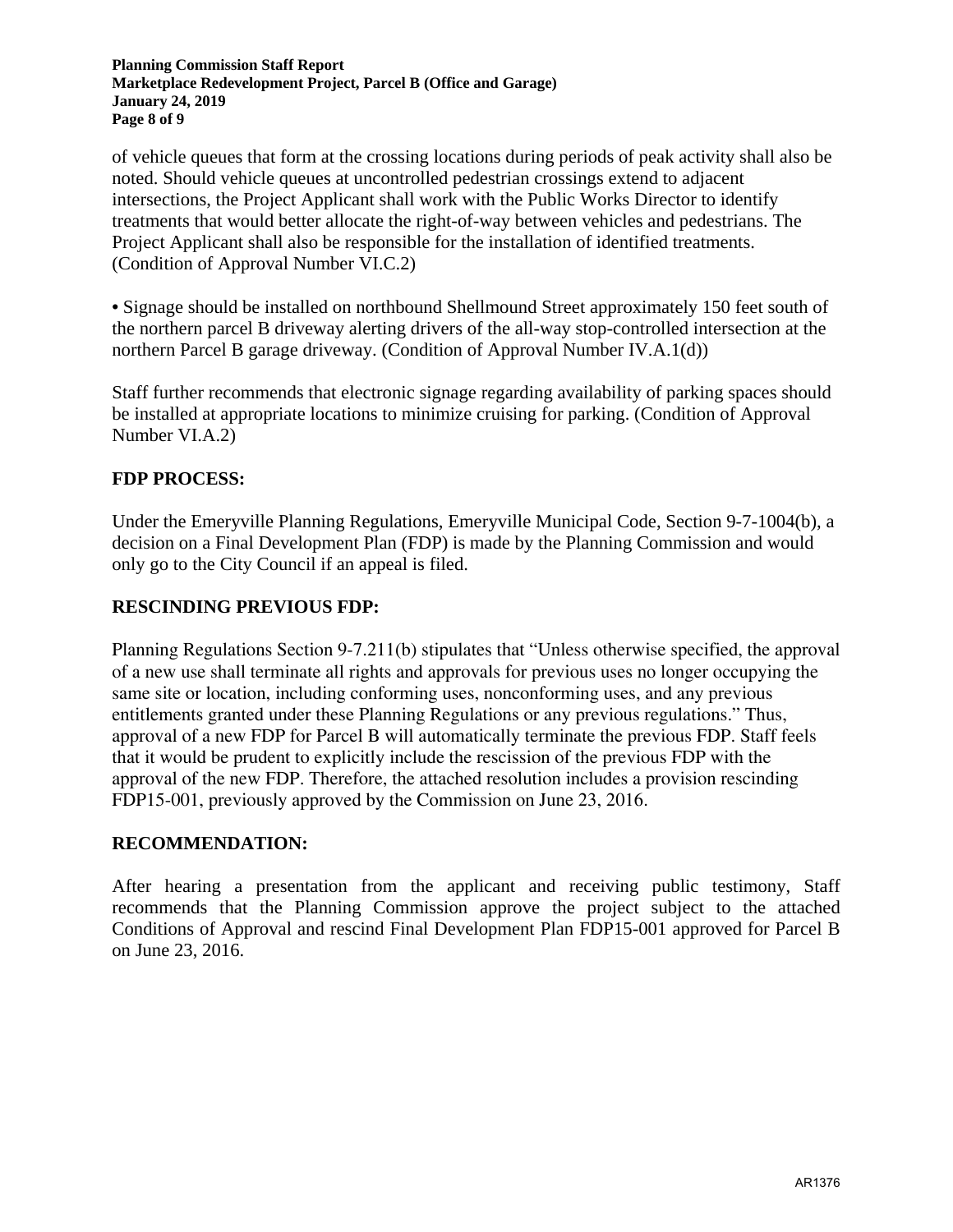**Planning Commission Staff Report Marketplace Redevelopment Project, Parcel B (Office and Garage) January 24, 2019 Page 8 of 9** 

of vehicle queues that form at the crossing locations during periods of peak activity shall also be noted. Should vehicle queues at uncontrolled pedestrian crossings extend to adjacent intersections, the Project Applicant shall work with the Public Works Director to identify treatments that would better allocate the right-of-way between vehicles and pedestrians. The Project Applicant shall also be responsible for the installation of identified treatments. (Condition of Approval Number VI.C.2)

**•** Signage should be installed on northbound Shellmound Street approximately 150 feet south of the northern parcel B driveway alerting drivers of the all-way stop-controlled intersection at the northern Parcel B garage driveway. (Condition of Approval Number IV.A.1(d))

Staff further recommends that electronic signage regarding availability of parking spaces should be installed at appropriate locations to minimize cruising for parking. (Condition of Approval Number VI.A.2)

## **FDP PROCESS:**

Under the Emeryville Planning Regulations, Emeryville Municipal Code, Section 9-7-1004(b), a decision on a Final Development Plan (FDP) is made by the Planning Commission and would only go to the City Council if an appeal is filed.

### **RESCINDING PREVIOUS FDP:**

Planning Regulations Section 9-7.211(b) stipulates that "Unless otherwise specified, the approval of a new use shall terminate all rights and approvals for previous uses no longer occupying the same site or location, including conforming uses, nonconforming uses, and any previous entitlements granted under these Planning Regulations or any previous regulations." Thus, approval of a new FDP for Parcel B will automatically terminate the previous FDP. Staff feels that it would be prudent to explicitly include the rescission of the previous FDP with the approval of the new FDP. Therefore, the attached resolution includes a provision rescinding FDP15-001, previously approved by the Commission on June 23, 2016.

### **RECOMMENDATION:**

After hearing a presentation from the applicant and receiving public testimony, Staff recommends that the Planning Commission approve the project subject to the attached Conditions of Approval and rescind Final Development Plan FDP15-001 approved for Parcel B on June 23, 2016.